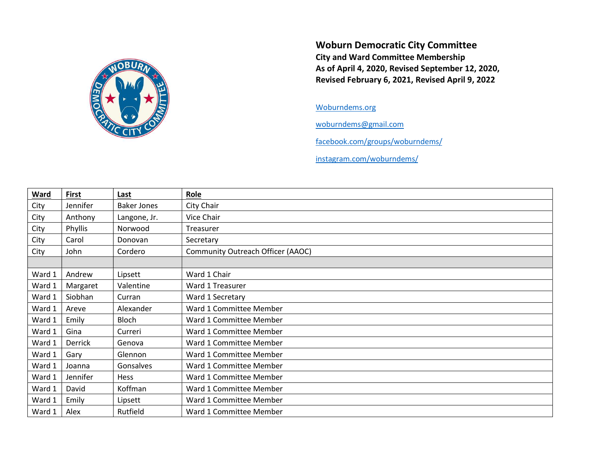

Woburn Democratic City Committee City and Ward Committee Membership As of April 4, 2020, Revised September 12, 2020, Revised February 6, 2021, Revised April 9, 2022

## Woburndems.org

woburndems@gmail.com

facebook.com/groups/woburndems/

instagram.com/woburndems/

| <b>Ward</b> | <b>First</b> | Last               | Role                              |
|-------------|--------------|--------------------|-----------------------------------|
| City        | Jennifer     | <b>Baker Jones</b> | City Chair                        |
| City        | Anthony      | Langone, Jr.       | Vice Chair                        |
| City        | Phyllis      | Norwood            | Treasurer                         |
| City        | Carol        | Donovan            | Secretary                         |
| City        | John         | Cordero            | Community Outreach Officer (AAOC) |
|             |              |                    |                                   |
| Ward 1      | Andrew       | Lipsett            | Ward 1 Chair                      |
| Ward 1      | Margaret     | Valentine          | Ward 1 Treasurer                  |
| Ward 1      | Siobhan      | Curran             | Ward 1 Secretary                  |
| Ward 1      | Areve        | Alexander          | Ward 1 Committee Member           |
| Ward 1      | Emily        | Bloch              | Ward 1 Committee Member           |
| Ward 1      | Gina         | Curreri            | Ward 1 Committee Member           |
| Ward 1      | Derrick      | Genova             | Ward 1 Committee Member           |
| Ward 1      | Gary         | Glennon            | Ward 1 Committee Member           |
| Ward 1      | Joanna       | Gonsalves          | Ward 1 Committee Member           |
| Ward 1      | Jennifer     | Hess               | Ward 1 Committee Member           |
| Ward 1      | David        | Koffman            | Ward 1 Committee Member           |
| Ward 1      | Emily        | Lipsett            | Ward 1 Committee Member           |
| Ward 1      | Alex         | Rutfield           | Ward 1 Committee Member           |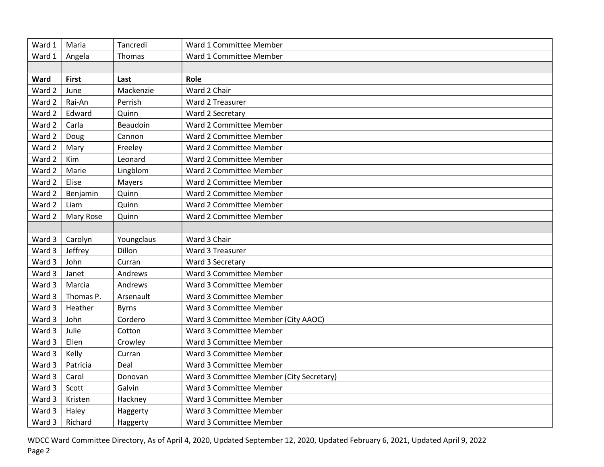| Ward 1 | Maria        | Tancredi     | Ward 1 Committee Member                  |
|--------|--------------|--------------|------------------------------------------|
| Ward 1 | Angela       | Thomas       | Ward 1 Committee Member                  |
|        |              |              |                                          |
| Ward   | <b>First</b> | Last         | Role                                     |
| Ward 2 | June         | Mackenzie    | Ward 2 Chair                             |
| Ward 2 | Rai-An       | Perrish      | Ward 2 Treasurer                         |
| Ward 2 | Edward       | Quinn        | Ward 2 Secretary                         |
| Ward 2 | Carla        | Beaudoin     | Ward 2 Committee Member                  |
| Ward 2 | Doug         | Cannon       | Ward 2 Committee Member                  |
| Ward 2 | Mary         | Freeley      | Ward 2 Committee Member                  |
| Ward 2 | Kim          | Leonard      | Ward 2 Committee Member                  |
| Ward 2 | Marie        | Lingblom     | Ward 2 Committee Member                  |
| Ward 2 | Elise        | Mayers       | Ward 2 Committee Member                  |
| Ward 2 | Benjamin     | Quinn        | Ward 2 Committee Member                  |
| Ward 2 | Liam         | Quinn        | Ward 2 Committee Member                  |
| Ward 2 | Mary Rose    | Quinn        | Ward 2 Committee Member                  |
|        |              |              |                                          |
| Ward 3 | Carolyn      | Youngclaus   | Ward 3 Chair                             |
| Ward 3 | Jeffrey      | Dillon       | Ward 3 Treasurer                         |
| Ward 3 | John         | Curran       | Ward 3 Secretary                         |
| Ward 3 | Janet        | Andrews      | Ward 3 Committee Member                  |
| Ward 3 | Marcia       | Andrews      | Ward 3 Committee Member                  |
| Ward 3 | Thomas P.    | Arsenault    | Ward 3 Committee Member                  |
| Ward 3 | Heather      | <b>Byrns</b> | Ward 3 Committee Member                  |
| Ward 3 | John         | Cordero      | Ward 3 Committee Member (City AAOC)      |
| Ward 3 | Julie        | Cotton       | Ward 3 Committee Member                  |
| Ward 3 |              |              |                                          |
|        | Ellen        | Crowley      | Ward 3 Committee Member                  |
| Ward 3 | Kelly        | Curran       | Ward 3 Committee Member                  |
| Ward 3 | Patricia     | Deal         | Ward 3 Committee Member                  |
| Ward 3 | Carol        | Donovan      | Ward 3 Committee Member (City Secretary) |
| Ward 3 | Scott        | Galvin       | Ward 3 Committee Member                  |
| Ward 3 | Kristen      | Hackney      | Ward 3 Committee Member                  |
| Ward 3 | Haley        | Haggerty     | Ward 3 Committee Member                  |

WDCC Ward Committee Directory, As of April 4, 2020, Updated September 12, 2020, Updated February 6, 2021, Updated April 9, 2022 Page 2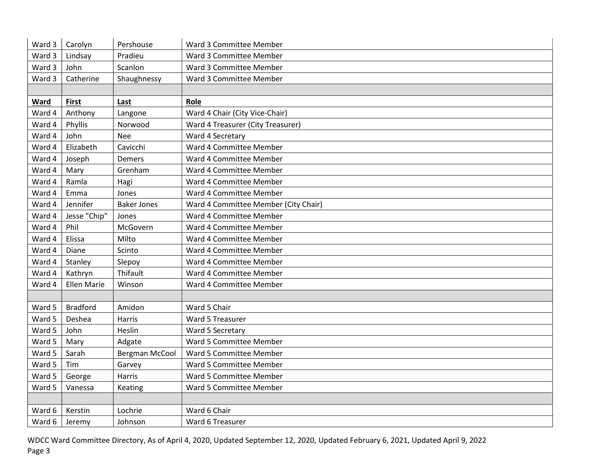| Ward 3 | Carolyn            | Pershouse             | Ward 3 Committee Member              |
|--------|--------------------|-----------------------|--------------------------------------|
| Ward 3 | Lindsay            | Pradieu               | Ward 3 Committee Member              |
| Ward 3 | John               | Scanlon               | Ward 3 Committee Member              |
| Ward 3 | Catherine          | Shaughnessy           | Ward 3 Committee Member              |
|        |                    |                       |                                      |
| Ward   | <b>First</b>       | Last                  | Role                                 |
| Ward 4 | Anthony            | Langone               | Ward 4 Chair (City Vice-Chair)       |
| Ward 4 | Phyllis            | Norwood               | Ward 4 Treasurer (City Treasurer)    |
| Ward 4 | John               | <b>Nee</b>            | Ward 4 Secretary                     |
| Ward 4 | Elizabeth          | Cavicchi              | Ward 4 Committee Member              |
| Ward 4 | Joseph             | Demers                | Ward 4 Committee Member              |
| Ward 4 | Mary               | Grenham               | Ward 4 Committee Member              |
| Ward 4 | Ramla              | Hagi                  | Ward 4 Committee Member              |
| Ward 4 | Emma               | Jones                 | Ward 4 Committee Member              |
| Ward 4 | Jennifer           | <b>Baker Jones</b>    | Ward 4 Committee Member (City Chair) |
| Ward 4 | Jesse "Chip"       | Jones                 | Ward 4 Committee Member              |
| Ward 4 | Phil               | McGovern              | Ward 4 Committee Member              |
| Ward 4 | Elissa             | Milto                 | Ward 4 Committee Member              |
| Ward 4 | Diane              | Scinto                | Ward 4 Committee Member              |
| Ward 4 | Stanley            | Slepoy                | Ward 4 Committee Member              |
| Ward 4 | Kathryn            | Thifault              | Ward 4 Committee Member              |
| Ward 4 | <b>Ellen Marie</b> | Winson                | Ward 4 Committee Member              |
|        |                    |                       |                                      |
| Ward 5 | <b>Bradford</b>    | Amidon                | Ward 5 Chair                         |
| Ward 5 | Deshea             | Harris                | Ward 5 Treasurer                     |
| Ward 5 | John               | Heslin                | Ward 5 Secretary                     |
| Ward 5 | Mary               | Adgate                | Ward 5 Committee Member              |
| Ward 5 | Sarah              | <b>Bergman McCool</b> | Ward 5 Committee Member              |
| Ward 5 | Tim                | Garvey                | Ward 5 Committee Member              |
| Ward 5 | George             | Harris                | Ward 5 Committee Member              |
| Ward 5 | Vanessa            | Keating               | Ward 5 Committee Member              |
|        |                    |                       |                                      |
| Ward 6 | Kerstin            | Lochrie               | Ward 6 Chair                         |
| Ward 6 | Jeremy             | Johnson               | Ward 6 Treasurer                     |

WDCC Ward Committee Directory, As of April 4, 2020, Updated September 12, 2020, Updated February 6, 2021, Updated April 9, 2022 Page 3